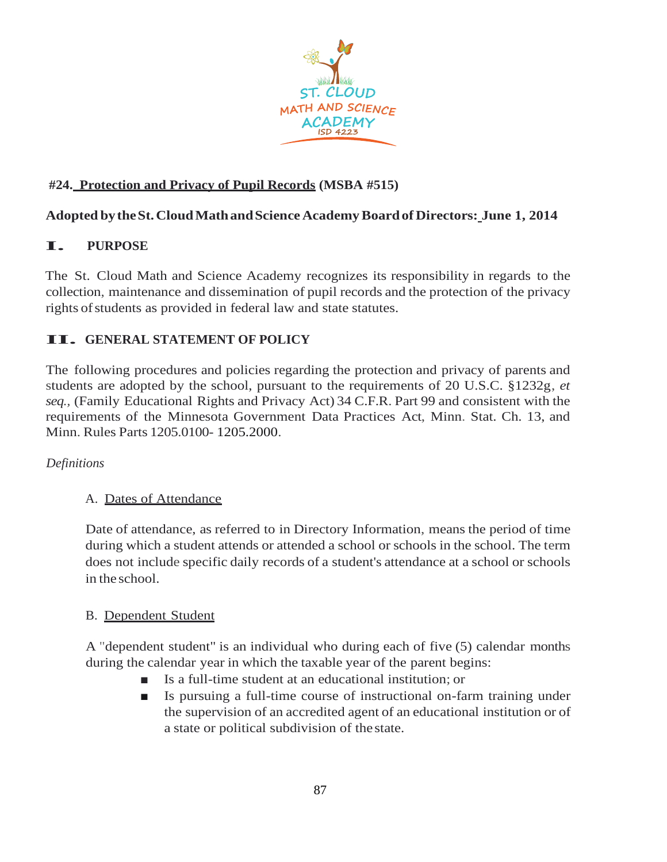

# **#24. Protection and Privacy of Pupil Records (MSBA #515)**

## **Adopted bytheSt.CloudMathandScienceAcademyBoardof Directors: June 1, 2014**

# **I. PURPOSE**

The St. Cloud Math and Science Academy recognizes its responsibility in regards to the collection, maintenance and dissemination of pupil records and the protection of the privacy rights of students as provided in federal law and state statutes.

# **II. GENERAL STATEMENT OF POLICY**

The following procedures and policies regarding the protection and privacy of parents and students are adopted by the school, pursuant to the requirements of 20 U.S.C. §1232g, *et seq.,* (Family Educational Rights and Privacy Act) 34 C.F.R. Part 99 and consistent with the requirements of the Minnesota Government Data Practices Act, Minn. Stat. Ch. 13, and Minn. Rules Parts 1205.0100- 1205.2000.

#### *Definitions*

#### A. Dates of Attendance

Date of attendance, as referred to in Directory Information, means the period of time during which a student attends or attended a school or schools in the school. The term does not include specific daily records of a student's attendance at a school or schools in the school.

#### B. Dependent Student

A "dependent student" is an individual who during each of five (5) calendar months during the calendar year in which the taxable year of the parent begins:

- Is a full-time student at an educational institution; or
- Is pursuing a full-time course of instructional on-farm training under the supervision of an accredited agent of an educational institution or of a state or political subdivision of the state.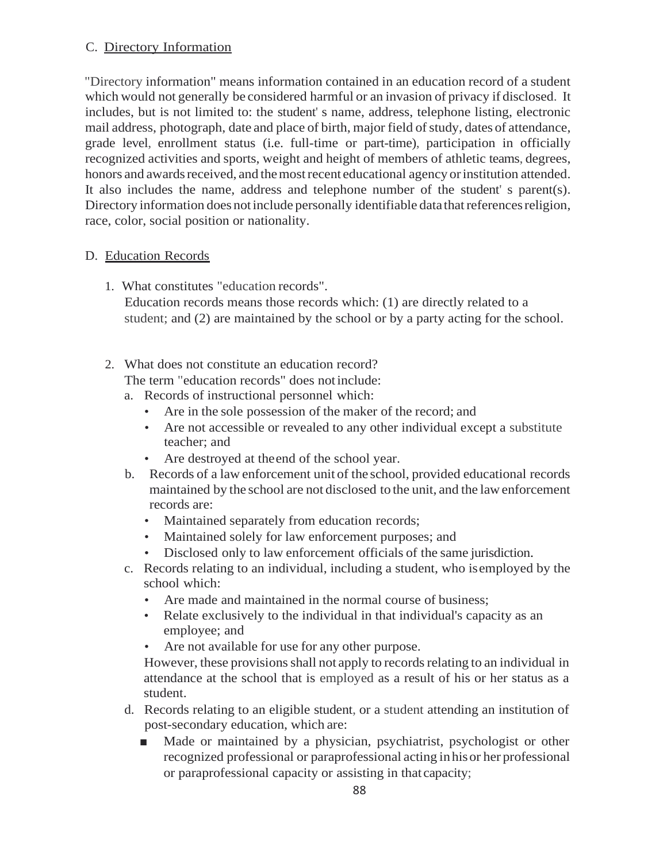#### C. Directory Information

"Directory information" means information contained in an education record of a student which would not generally be considered harmful or an invasion of privacy if disclosed. It includes, but is not limited to: the student' s name, address, telephone listing, electronic mail address, photograph, date and place of birth, major field of study, dates of attendance, grade level, enrollment status (i.e. full-time or part-time), participation in officially recognized activities and sports, weight and height of members of athletic teams, degrees, honors and awards received, and the most recent educational agency or institution attended. It also includes the name, address and telephone number of the student' s parent(s). Directory information does not include personally identifiable data that references religion, race, color, social position or nationality.

#### D. Education Records

- 1. What constitutes "education records". Education records means those records which: (1) are directly related to a student; and (2) are maintained by the school or by a party acting for the school.
- 2. What does not constitute an education record?

The term "education records" does notinclude:

- a. Records of instructional personnel which:
	- Are in the sole possession of the maker of the record; and
	- Are not accessible or revealed to any other individual except a substitute teacher; and
	- Are destroyed at theend of the school year.
- b. Records of a law enforcement unit of the school, provided educational records maintained by the school are not disclosed to the unit, and the lawenforcement records are:
	- Maintained separately from education records;
	- Maintained solely for law enforcement purposes; and
	- Disclosed only to law enforcement officials of the same jurisdiction.
- c. Records relating to an individual, including a student, who isemployed by the school which:
	- Are made and maintained in the normal course of business;
	- Relate exclusively to the individual in that individual's capacity as an employee; and
	- Are not available for use for any other purpose.

However, these provisions shall not apply to records relating to an individual in attendance at the school that is employed as a result of his or her status as a student.

- d. Records relating to an eligible student, or a student attending an institution of post-secondary education, which are:
	- Made or maintained by a physician, psychiatrist, psychologist or other recognized professional or paraprofessional acting inhisor her professional or paraprofessional capacity or assisting in that capacity;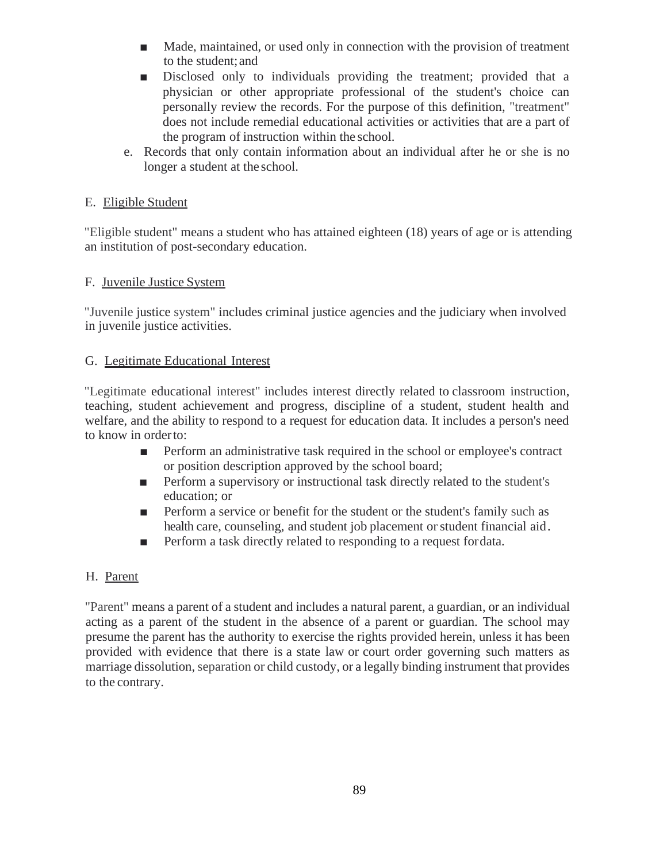- Made, maintained, or used only in connection with the provision of treatment to the student;and
- Disclosed only to individuals providing the treatment; provided that a physician or other appropriate professional of the student's choice can personally review the records. For the purpose of this definition, "treatment" does not include remedial educational activities or activities that are a part of the program of instruction within the school.
- e. Records that only contain information about an individual after he or she is no longer a student at the school.

### E. Eligible Student

"Eligible student" means a student who has attained eighteen (18) years of age or is attending an institution of post-secondary education.

### F. Juvenile Justice System

"Juvenile justice system" includes criminal justice agencies and the judiciary when involved in juvenile justice activities.

### G. Legitimate Educational Interest

"Legitimate educational interest" includes interest directly related to classroom instruction, teaching, student achievement and progress, discipline of a student, student health and welfare, and the ability to respond to a request for education data. It includes a person's need to know in orderto:

- Perform an administrative task required in the school or employee's contract or position description approved by the school board;
- Perform a supervisory or instructional task directly related to the student's education; or
- Perform a service or benefit for the student or the student's family such as health care, counseling, and student job placement or student financial aid.
- Perform a task directly related to responding to a request fordata.

## H. Parent

"Parent" means a parent of a student and includes a natural parent, a guardian, or an individual acting as a parent of the student in the absence of a parent or guardian. The school may presume the parent has the authority to exercise the rights provided herein, unless it has been provided with evidence that there is a state law or court order governing such matters as marriage dissolution, separation or child custody, or a legally binding instrument that provides to the contrary.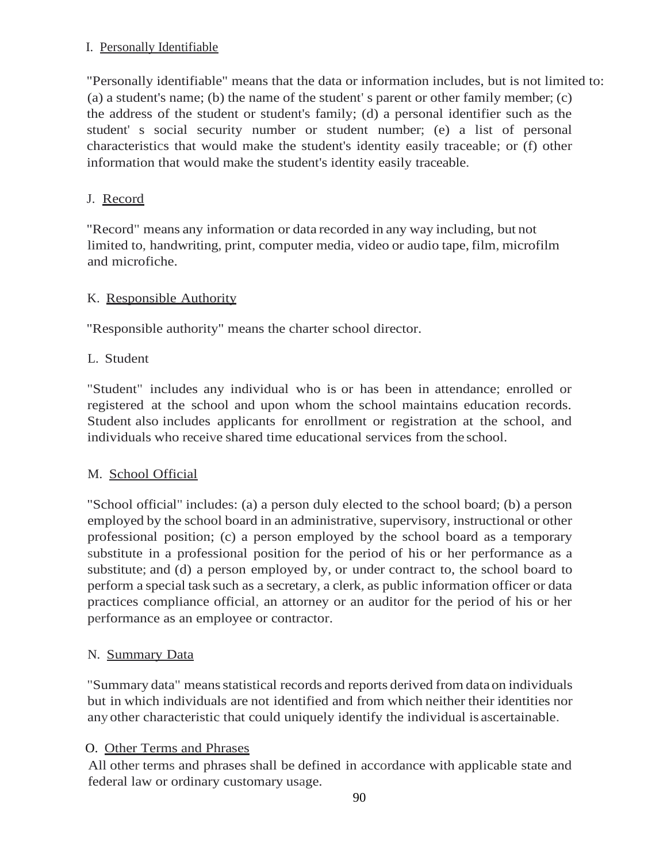### I. Personally Identifiable

"Personally identifiable" means that the data or information includes, but is not limited to: (a) a student's name; (b) the name of the student' s parent or other family member; (c) the address of the student or student's family; (d) a personal identifier such as the student' s social security number or student number; (e) a list of personal characteristics that would make the student's identity easily traceable; or (f) other information that would make the student's identity easily traceable.

# J. Record

"Record" means any information or data recorded in any way including, but not limited to, handwriting, print, computer media, video or audio tape, film, microfilm and microfiche.

# K. Responsible Authority

"Responsible authority" means the charter school director.

## L. Student

"Student" includes any individual who is or has been in attendance; enrolled or registered at the school and upon whom the school maintains education records. Student also includes applicants for enrollment or registration at the school, and individuals who receive shared time educational services from the school.

## M. School Official

"School official" includes: (a) a person duly elected to the school board; (b) a person employed by the school board in an administrative, supervisory, instructional or other professional position; (c) a person employed by the school board as a temporary substitute in a professional position for the period of his or her performance as a substitute; and (d) a person employed by, or under contract to, the school board to perform a special task such as a secretary, a clerk, as public information officer or data practices compliance official, an attorney or an auditor for the period of his or her performance as an employee or contractor.

## N. Summary Data

"Summary data" meansstatistical records and reports derived from data on individuals but in which individuals are not identified and from which neither their identities nor any other characteristic that could uniquely identify the individual is ascertainable.

## O. Other Terms and Phrases

All other terms and phrases shall be defined in accordance with applicable state and federal law or ordinary customary usage.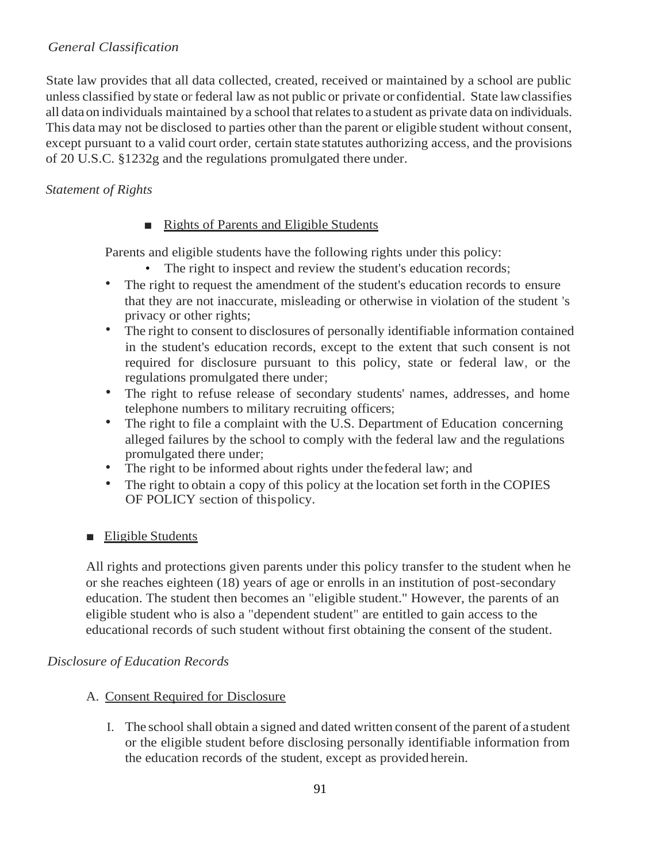## *General Classification*

State law provides that all data collected, created, received or maintained by a school are public unless classified by state or federal law as not public or private or confidential. State lawclassifies all dataon individuals maintained by a school thatrelatesto a student as private data on individuals. This data may not be disclosed to parties other than the parent or eligible student without consent, except pursuant to a valid court order, certain state statutes authorizing access, and the provisions of 20 U.S.C. §1232g and the regulations promulgated there under.

### *Statement of Rights*

### ■ Rights of Parents and Eligible Students

Parents and eligible students have the following rights under this policy:

- The right to inspect and review the student's education records;
- The right to request the amendment of the student's education records to ensure that they are not inaccurate, misleading or otherwise in violation of the student 's privacy or other rights;
- The right to consent to disclosures of personally identifiable information contained in the student's education records, except to the extent that such consent is not required for disclosure pursuant to this policy, state or federal law, or the regulations promulgated there under;
- The right to refuse release of secondary students' names, addresses, and home telephone numbers to military recruiting officers;
- The right to file a complaint with the U.S. Department of Education concerning alleged failures by the school to comply with the federal law and the regulations promulgated there under;
- The right to be informed about rights under thefederal law; and
- The right to obtain a copy of this policy at the location set forth in the COPIES OF POLICY section of thispolicy.

#### ■ Eligible Students

All rights and protections given parents under this policy transfer to the student when he or she reaches eighteen (18) years of age or enrolls in an institution of post-secondary education. The student then becomes an "eligible student." However, the parents of an eligible student who is also a "dependent student" are entitled to gain access to the educational records of such student without first obtaining the consent of the student.

#### *Disclosure of Education Records*

#### A. Consent Required for Disclosure

I. The school shall obtain a signed and dated written consent of the parent of astudent or the eligible student before disclosing personally identifiable information from the education records of the student, except as provided herein.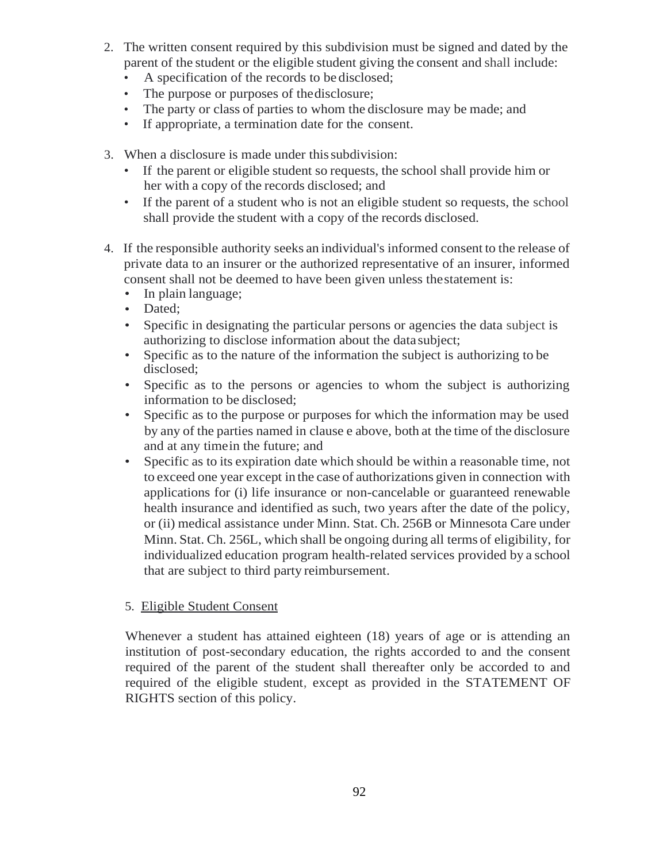- 2. The written consent required by this subdivision must be signed and dated by the parent of the student or the eligible student giving the consent and shall include:
	- A specification of the records to be disclosed;
	- The purpose or purposes of the disclosure;
	- The party or class of parties to whom the disclosure may be made; and
	- If appropriate, a termination date for the consent.
- 3. When a disclosure is made under thissubdivision:
	- If the parent or eligible student so requests, the school shall provide him or her with a copy of the records disclosed; and
	- If the parent of a student who is not an eligible student so requests, the school shall provide the student with a copy of the records disclosed.
- 4. If the responsible authority seeks an individual's informed consent to the release of private data to an insurer or the authorized representative of an insurer, informed consent shall not be deemed to have been given unless thestatement is:
	- In plain language;
	- Dated;
	- Specific in designating the particular persons or agencies the data subject is authorizing to disclose information about the data subject;
	- Specific as to the nature of the information the subject is authorizing to be disclosed;
	- Specific as to the persons or agencies to whom the subject is authorizing information to be disclosed;
	- Specific as to the purpose or purposes for which the information may be used by any of the parties named in clause e above, both at the time of the disclosure and at any timein the future; and
	- Specific as to its expiration date which should be within a reasonable time, not to exceed one year except in the case of authorizations given in connection with applications for (i) life insurance or non-cancelable or guaranteed renewable health insurance and identified as such, two years after the date of the policy, or (ii) medical assistance under Minn. Stat. Ch. 256B or Minnesota Care under Minn. Stat. Ch. 256L, which shall be ongoing during all terms of eligibility, for individualized education program health-related services provided by a school that are subject to third party reimbursement.

#### 5. Eligible Student Consent

Whenever a student has attained eighteen (18) years of age or is attending an institution of post-secondary education, the rights accorded to and the consent required of the parent of the student shall thereafter only be accorded to and required of the eligible student, except as provided in the STATEMENT OF RIGHTS section of this policy.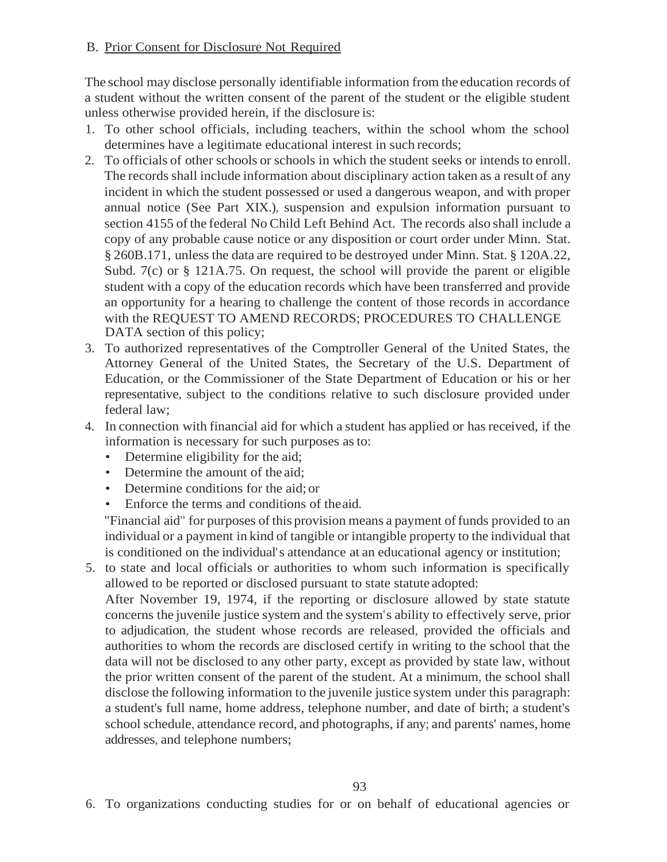#### B. Prior Consent for Disclosure Not Required

The school may disclose personally identifiable information from the education records of a student without the written consent of the parent of the student or the eligible student unless otherwise provided herein, if the disclosure is:

- 1. To other school officials, including teachers, within the school whom the school determines have a legitimate educational interest in such records;
- 2. To officials of other schools or schools in which the student seeks or intends to enroll. The records shall include information about disciplinary action taken as a result of any incident in which the student possessed or used a dangerous weapon, and with proper annual notice (See Part XIX.), suspension and expulsion information pursuant to section 4155 of the federal No Child Left Behind Act. The records also shall include a copy of any probable cause notice or any disposition or court order under Minn. Stat. § 260B.171, unless the data are required to be destroyed under Minn. Stat. § 120A.22, Subd. 7(c) or § 121A.75. On request, the school will provide the parent or eligible student with a copy of the education records which have been transferred and provide an opportunity for a hearing to challenge the content of those records in accordance with the REQUEST TO AMEND RECORDS; PROCEDURES TO CHALLENGE DATA section of this policy;
- 3. To authorized representatives of the Comptroller General of the United States, the Attorney General of the United States, the Secretary of the U.S. Department of Education, or the Commissioner of the State Department of Education or his or her representative, subject to the conditions relative to such disclosure provided under federal law;
- 4. In connection with financial aid for which a student has applied or has received, if the information is necessary for such purposes asto:
	- Determine eligibility for the aid;
	- Determine the amount of the aid;
	- Determine conditions for the aid; or
	- Enforce the terms and conditions of theaid.

"Financial aid" for purposes of this provision means a payment of funds provided to an individual or a payment in kind of tangible or intangible property to the individual that is conditioned on the individual's attendance at an educational agency or institution;

5. to state and local officials or authorities to whom such information is specifically allowed to be reported or disclosed pursuant to state statute adopted: After November 19, 1974, if the reporting or disclosure allowed by state statute concerns the juvenile justice system and the system's ability to effectively serve, prior to adjudication, the student whose records are released, provided the officials and authorities to whom the records are disclosed certify in writing to the school that the data will not be disclosed to any other party, except as provided by state law, without the prior written consent of the parent of the student. At a minimum, the school shall disclose the following information to the juvenile justice system under this paragraph: a student's full name, home address, telephone number, and date of birth; a student's school schedule, attendance record, and photographs, if any; and parents' names, home addresses, and telephone numbers;

6. To organizations conducting studies for or on behalf of educational agencies or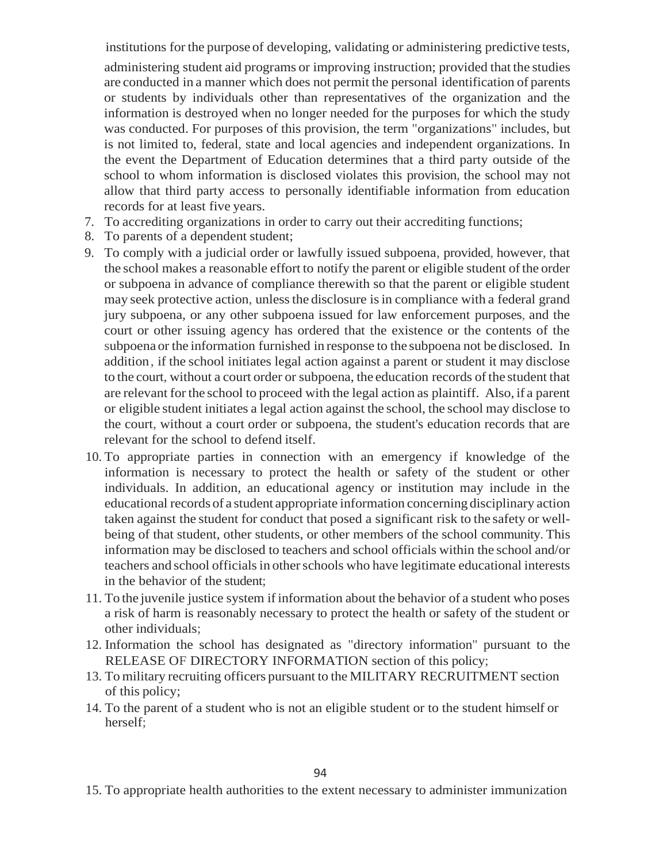institutions for the purpose of developing, validating or administering predictive tests, administering student aid programs or improving instruction; provided that the studies are conducted in a manner which does not permit the personal identification of parents or students by individuals other than representatives of the organization and the information is destroyed when no longer needed for the purposes for which the study was conducted. For purposes of this provision, the term "organizations" includes, but is not limited to, federal, state and local agencies and independent organizations. In the event the Department of Education determines that a third party outside of the school to whom information is disclosed violates this provision, the school may not allow that third party access to personally identifiable information from education records for at least five years.

- 7. To accrediting organizations in order to carry out their accrediting functions;
- 8. To parents of a dependent student;
- 9. To comply with a judicial order or lawfully issued subpoena, provided, however, that the school makes a reasonable effort to notify the parent or eligible student ofthe order or subpoena in advance of compliance therewith so that the parent or eligible student may seek protective action, unless the disclosure is in compliance with a federal grand jury subpoena, or any other subpoena issued for law enforcement purposes, and the court or other issuing agency has ordered that the existence or the contents of the subpoena or the information furnished in response to the subpoena not be disclosed. In addition, if the school initiates legal action against a parent or student it may disclose to the court, without a court order or subpoena, the education records of the student that are relevant forthe school to proceed with the legal action as plaintiff. Also, if a parent or eligible student initiates a legal action against the school, the school may disclose to the court, without a court order or subpoena, the student's education records that are relevant for the school to defend itself.
- 10. To appropriate parties in connection with an emergency if knowledge of the information is necessary to protect the health or safety of the student or other individuals. In addition, an educational agency or institution may include in the educational records of a student appropriate information concerning disciplinary action taken against the student for conduct that posed a significant risk to the safety or wellbeing of that student, other students, or other members of the school community. This information may be disclosed to teachers and school officials within the school and/or teachers and school officials in other schools who have legitimate educational interests in the behavior of the student;
- 11. To the juvenile justice system ifinformation about the behavior of a student who poses a risk of harm is reasonably necessary to protect the health or safety of the student or other individuals;
- 12. Information the school has designated as "directory information" pursuant to the RELEASE OF DIRECTORY INFORMATION section of this policy;
- 13. To military recruiting officers pursuant to the MILITARY RECRUITMENT section of this policy;
- 14. To the parent of a student who is not an eligible student or to the student himself or herself;

15. To appropriate health authorities to the extent necessary to administer immunization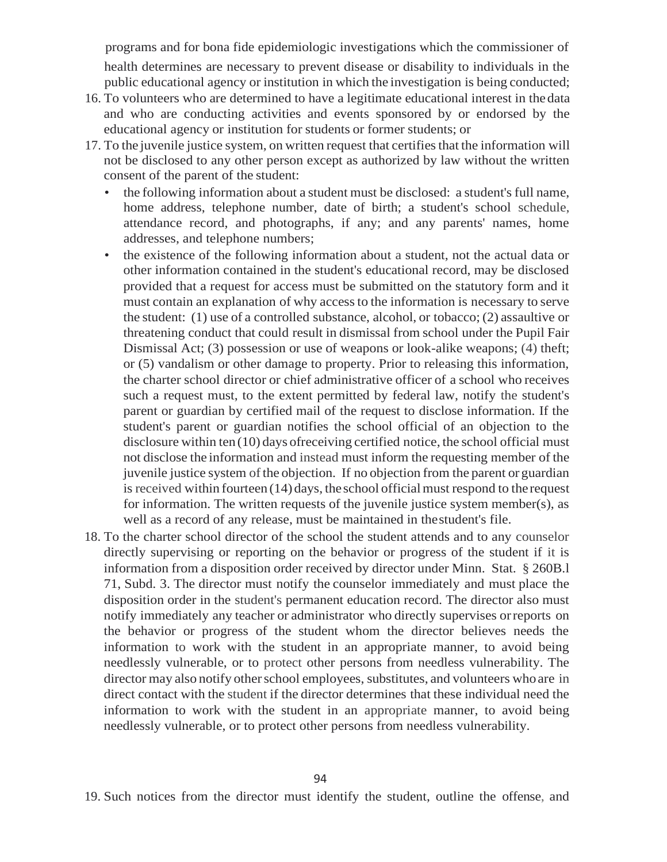programs and for bona fide epidemiologic investigations which the commissioner of health determines are necessary to prevent disease or disability to individuals in the public educational agency or institution in which the investigation is being conducted;

- 16. To volunteers who are determined to have a legitimate educational interest in thedata and who are conducting activities and events sponsored by or endorsed by the educational agency or institution for students or former students; or
- 17. To the juvenile justice system, on written request that certifies that the information will not be disclosed to any other person except as authorized by law without the written consent of the parent of the student:
	- the following information about a student must be disclosed: a student's full name, home address, telephone number, date of birth; a student's school schedule, attendance record, and photographs, if any; and any parents' names, home addresses, and telephone numbers;
	- the existence of the following information about a student, not the actual data or other information contained in the student's educational record, may be disclosed provided that a request for access must be submitted on the statutory form and it must contain an explanation of why access to the information is necessary to serve the student: (1) use of a controlled substance, alcohol, or tobacco; (2) assaultive or threatening conduct that could result in dismissal from school under the Pupil Fair Dismissal Act; (3) possession or use of weapons or look-alike weapons; (4) theft; or (5) vandalism or other damage to property. Prior to releasing this information, the charter school director or chief administrative officer of a school who receives such a request must, to the extent permitted by federal law, notify the student's parent or guardian by certified mail of the request to disclose information. If the student's parent or guardian notifies the school official of an objection to the disclosure within ten(10) days ofreceiving certified notice, the school official must not disclose the information and instead must inform the requesting member of the juvenile justice system of the objection. If no objection from the parent or guardian is received within fourteen (14) days, the school official must respond to the request for information. The written requests of the juvenile justice system member(s), as well as a record of any release, must be maintained in thestudent's file.
- 18. To the charter school director of the school the student attends and to any counselor directly supervising or reporting on the behavior or progress of the student if it is information from a disposition order received by director under Minn. Stat. § 260B.l 71, Subd. 3. The director must notify the counselor immediately and must place the disposition order in the student's permanent education record. The director also must notify immediately any teacher or administrator who directly supervises orreports on the behavior or progress of the student whom the director believes needs the information to work with the student in an appropriate manner, to avoid being needlessly vulnerable, or to protect other persons from needless vulnerability. The director may also notify other school employees, substitutes, and volunteers who are in direct contact with the student if the director determines that these individual need the information to work with the student in an appropriate manner, to avoid being needlessly vulnerable, or to protect other persons from needless vulnerability.

<sup>19.</sup> Such notices from the director must identify the student, outline the offense, and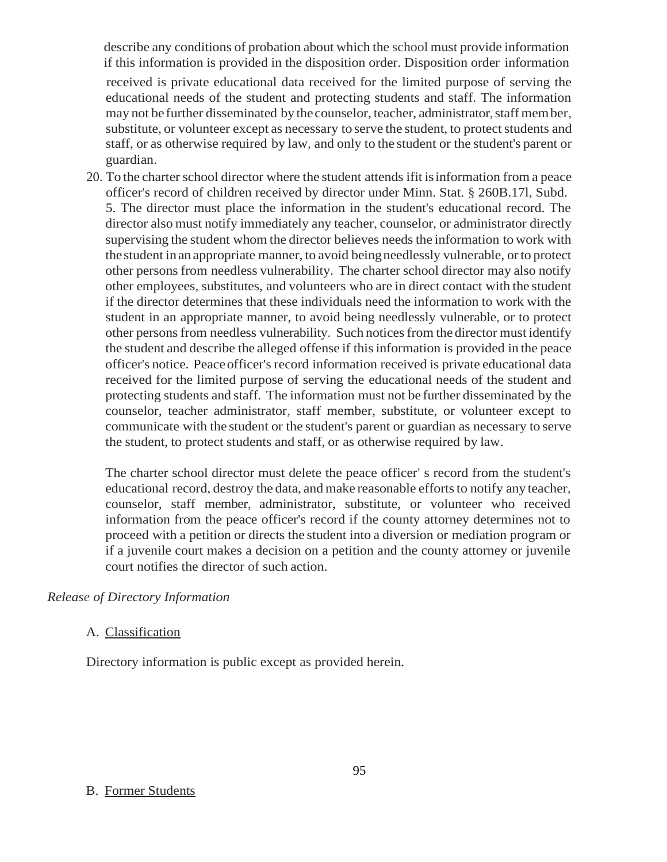describe any conditions of probation about which the school must provide information if this information is provided in the disposition order. Disposition order information

received is private educational data received for the limited purpose of serving the educational needs of the student and protecting students and staff. The information may not be further disseminated by the counselor, teacher, administrator, staff member, substitute, or volunteer except as necessary to serve the student, to protect students and staff, or as otherwise required by law, and only to the student or the student's parent or guardian.

20. To the charter school director where the student attends if it is information from a peace officer's record of children received by director under Minn. Stat. § 260B.17l, Subd. 5. The director must place the information in the student's educational record. The director also must notify immediately any teacher, counselor, or administrator directly supervising the student whom the director believes needs the information to work with thestudent in an appropriate manner, to avoid beingneedlessly vulnerable, orto protect other personsfrom needless vulnerability. The charter school director may also notify other employees, substitutes, and volunteers who are in direct contact with the student if the director determines that these individuals need the information to work with the student in an appropriate manner, to avoid being needlessly vulnerable, or to protect other persons from needless vulnerability. Such notices from the director must identify the student and describe the alleged offense if this information is provided in the peace officer's notice. Peace officer's record information received is private educational data received for the limited purpose of serving the educational needs of the student and protecting students and staff. The information must not be further disseminated by the counselor, teacher administrator, staff member, substitute, or volunteer except to communicate with the student or the student's parent or guardian as necessary to serve the student, to protect students and staff, or as otherwise required by law.

The charter school director must delete the peace officer' s record from the student's educational record, destroy the data, and make reasonable efforts to notify any teacher, counselor, staff member, administrator, substitute, or volunteer who received information from the peace officer's record if the county attorney determines not to proceed with a petition or directs the student into a diversion or mediation program or if a juvenile court makes a decision on a petition and the county attorney or juvenile court notifies the director of such action.

#### *Release of Directory Information*

#### A. Classification

Directory information is public except as provided herein.

#### B. Former Students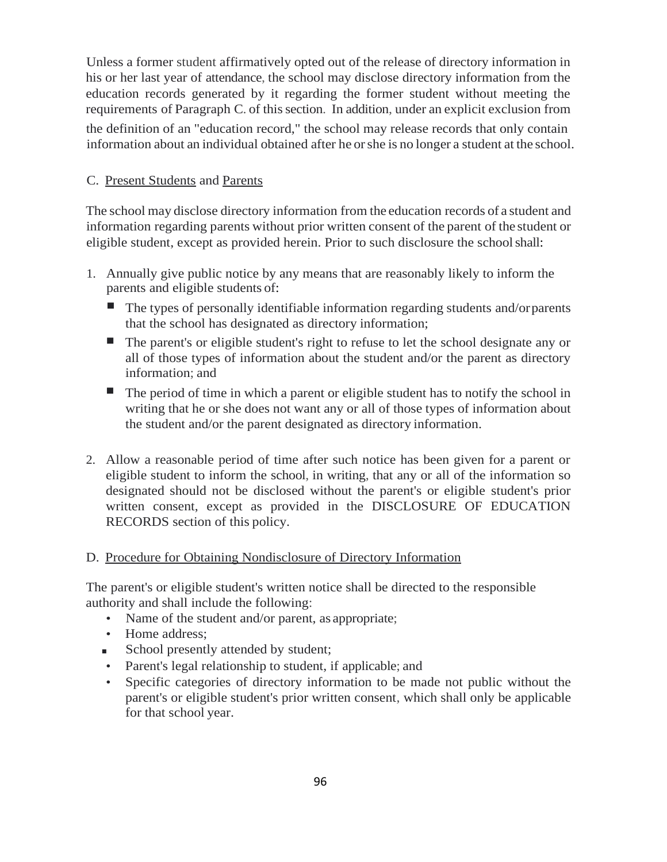Unless a former student affirmatively opted out of the release of directory information in his or her last year of attendance, the school may disclose directory information from the education records generated by it regarding the former student without meeting the requirements of Paragraph C. of this section. In addition, under an explicit exclusion from the definition of an "education record," the school may release records that only contain information about an individual obtained after he orshe is no longer a student at the school.

### C. Present Students and Parents

The school may disclose directory information from the education records of a student and information regarding parents without prior written consent of the parent of the student or eligible student, except as provided herein. Prior to such disclosure the schoolshall:

- 1. Annually give public notice by any means that are reasonably likely to inform the parents and eligible students of:
	- The types of personally identifiable information regarding students and/orparents that the school has designated as directory information;
	- The parent's or eligible student's right to refuse to let the school designate any or all of those types of information about the student and/or the parent as directory information; and
	- The period of time in which a parent or eligible student has to notify the school in writing that he or she does not want any or all of those types of information about the student and/or the parent designated as directory information.
- 2. Allow a reasonable period of time after such notice has been given for a parent or eligible student to inform the school, in writing, that any or all of the information so designated should not be disclosed without the parent's or eligible student's prior written consent, except as provided in the DISCLOSURE OF EDUCATION RECORDS section of this policy.

#### D. Procedure for Obtaining Nondisclosure of Directory Information

The parent's or eligible student's written notice shall be directed to the responsible authority and shall include the following:

- Name of the student and/or parent, as appropriate;
- Home address;
- School presently attended by student;
- Parent's legal relationship to student, if applicable; and
- Specific categories of directory information to be made not public without the parent's or eligible student's prior written consent, which shall only be applicable for that school year.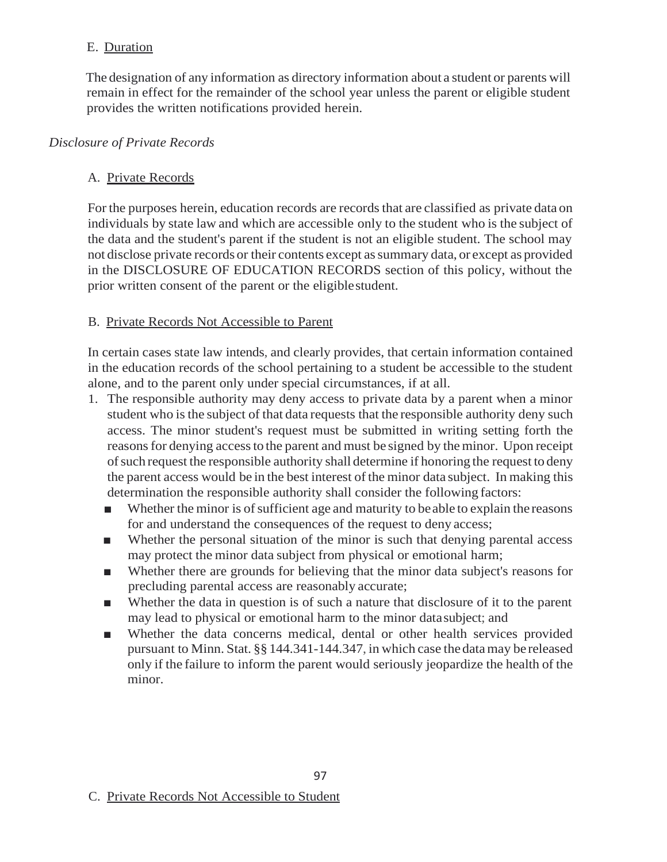### E. Duration

The designation of any information as directory information about a student or parents will remain in effect for the remainder of the school year unless the parent or eligible student provides the written notifications provided herein.

### *Disclosure of Private Records*

### A. Private Records

For the purposes herein, education records are records that are classified as private data on individuals by state law and which are accessible only to the student who is the subject of the data and the student's parent if the student is not an eligible student. The school may not disclose private records or their contents except assummary data, or except as provided in the DISCLOSURE OF EDUCATION RECORDS section of this policy, without the prior written consent of the parent or the eligiblestudent.

#### B. Private Records Not Accessible to Parent

In certain cases state law intends, and clearly provides, that certain information contained in the education records of the school pertaining to a student be accessible to the student alone, and to the parent only under special circumstances, if at all.

- 1. The responsible authority may deny access to private data by a parent when a minor student who is the subject of that data requests that the responsible authority deny such access. The minor student's request must be submitted in writing setting forth the reasonsfor denying accessto the parent and must be signed by theminor. Upon receipt ofsuch request the responsible authority shall determine if honoring the request to deny the parent access would be in the best interest of the minor data subject. In making this determination the responsible authority shall consider the following factors:
	- Whether the minor is of sufficient age and maturity to be able to explain the reasons for and understand the consequences of the request to deny access;
	- Whether the personal situation of the minor is such that denying parental access may protect the minor data subject from physical or emotional harm;
	- Whether there are grounds for believing that the minor data subject's reasons for precluding parental access are reasonably accurate;
	- Whether the data in question is of such a nature that disclosure of it to the parent may lead to physical or emotional harm to the minor datasubject; and
	- Whether the data concerns medical, dental or other health services provided pursuant to Minn. Stat. §§ 144.341-144.347, in which case the datamay be released only if the failure to inform the parent would seriously jeopardize the health of the minor.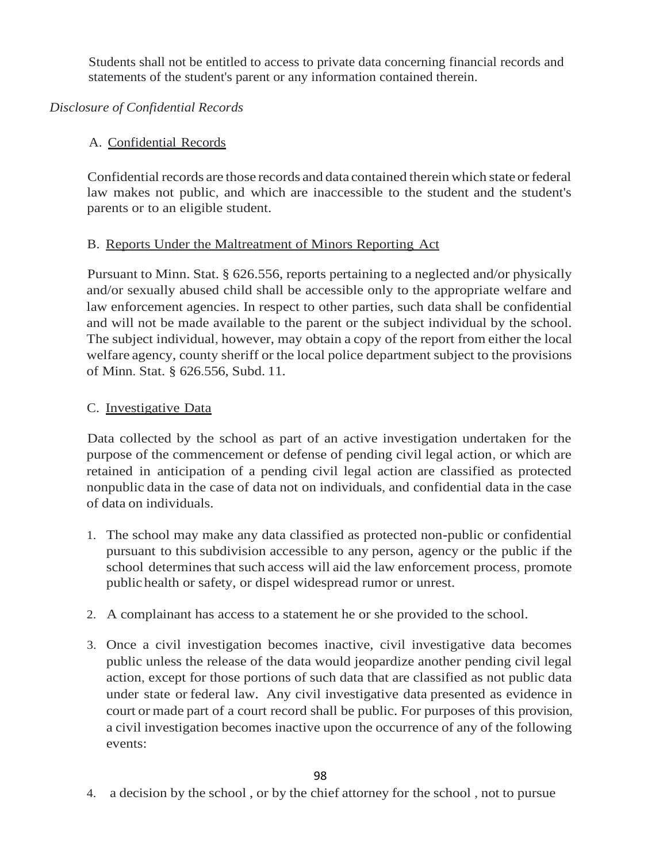Students shall not be entitled to access to private data concerning financial records and statements of the student's parent or any information contained therein.

## *Disclosure of Confidential Records*

# A. Confidential Records

Confidential records are those records and data contained therein which state orfederal law makes not public, and which are inaccessible to the student and the student's parents or to an eligible student.

# B. Reports Under the Maltreatment of Minors Reporting Act

Pursuant to Minn. Stat. § 626.556, reports pertaining to a neglected and/or physically and/or sexually abused child shall be accessible only to the appropriate welfare and law enforcement agencies. In respect to other parties, such data shall be confidential and will not be made available to the parent or the subject individual by the school. The subject individual, however, may obtain a copy of the report from either the local welfare agency, county sheriff or the local police department subject to the provisions of Minn. Stat. § 626.556, Subd. 11.

# C. Investigative Data

Data collected by the school as part of an active investigation undertaken for the purpose of the commencement or defense of pending civil legal action, or which are retained in anticipation of a pending civil legal action are classified as protected nonpublic data in the case of data not on individuals, and confidential data in the case of data on individuals.

- 1. The school may make any data classified as protected non-public or confidential pursuant to this subdivision accessible to any person, agency or the public if the school determines that such access will aid the law enforcement process, promote public health or safety, or dispel widespread rumor or unrest.
- 2. A complainant has access to a statement he or she provided to the school.
- 3. Once a civil investigation becomes inactive, civil investigative data becomes public unless the release of the data would jeopardize another pending civil legal action, except for those portions of such data that are classified as not public data under state or federal law. Any civil investigative data presented as evidence in court or made part of a court record shall be public. For purposes of this provision, a civil investigation becomes inactive upon the occurrence of any of the following events:

4. a decision by the school , or by the chief attorney for the school , not to pursue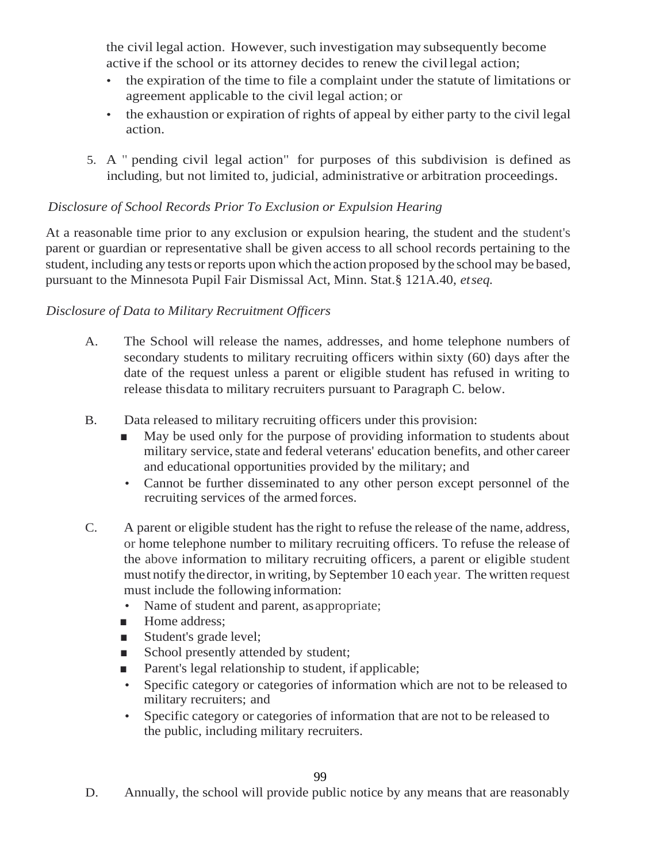the civil legal action. However, such investigation may subsequently become active if the school or its attorney decides to renew the civillegal action;

- the expiration of the time to file a complaint under the statute of limitations or agreement applicable to the civil legal action; or
- the exhaustion or expiration of rights of appeal by either party to the civil legal action.
- 5. A " pending civil legal action" for purposes of this subdivision is defined as including, but not limited to, judicial, administrative or arbitration proceedings.

### *Disclosure of School Records Prior To Exclusion or Expulsion Hearing*

At a reasonable time prior to any exclusion or expulsion hearing, the student and the student's parent or guardian or representative shall be given access to all school records pertaining to the student, including any tests or reports upon which the action proposed by the school may be based, pursuant to the Minnesota Pupil Fair Dismissal Act, Minn. Stat.§ 121A.40, *etseq.*

### *Disclosure of Data to Military Recruitment Officers*

- A. The School will release the names, addresses, and home telephone numbers of secondary students to military recruiting officers within sixty (60) days after the date of the request unless a parent or eligible student has refused in writing to release thisdata to military recruiters pursuant to Paragraph C. below.
- B. Data released to military recruiting officers under this provision:
	- May be used only for the purpose of providing information to students about military service, state and federal veterans' education benefits, and other career and educational opportunities provided by the military; and
	- Cannot be further disseminated to any other person except personnel of the recruiting services of the armed forces.
- C. A parent or eligible student has the right to refuse the release of the name, address, or home telephone number to military recruiting officers. To refuse the release of the above information to military recruiting officers, a parent or eligible student must notify thedirector, in writing, by September 10 each year. The written request must include the following information:
	- Name of student and parent, as appropriate;
	- Home address;
	- Student's grade level;
	- School presently attended by student;
	- Parent's legal relationship to student, if applicable;
	- Specific category or categories of information which are not to be released to military recruiters; and
	- Specific category or categories of information that are not to be released to the public, including military recruiters.

D. Annually, the school will provide public notice by any means that are reasonably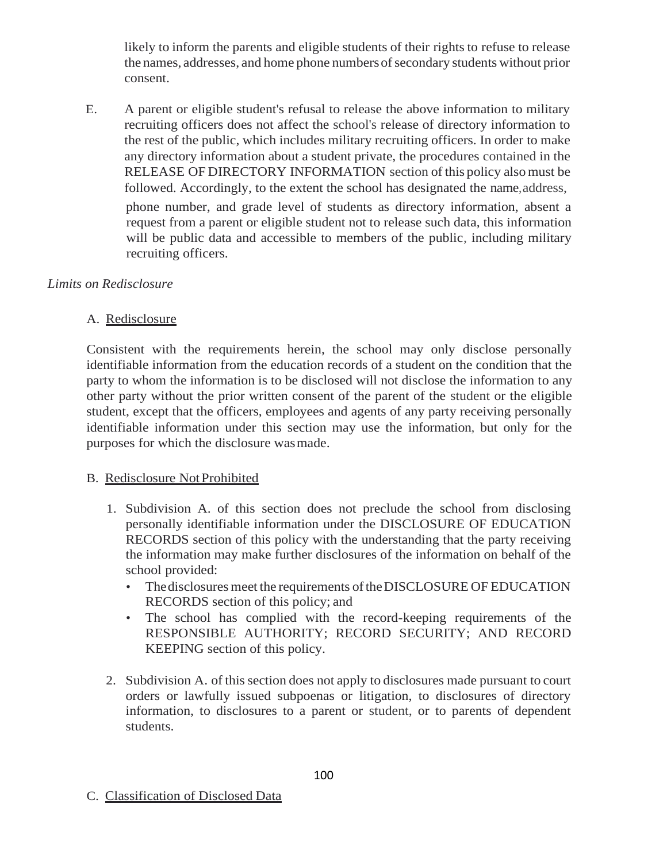likely to inform the parents and eligible students of their rights to refuse to release the names, addresses, and home phone numbersofsecondary students without prior consent.

E. A parent or eligible student's refusal to release the above information to military recruiting officers does not affect the school's release of directory information to the rest of the public, which includes military recruiting officers. In order to make any directory information about a student private, the procedures contained in the RELEASE OF DIRECTORY INFORMATION section of this policy alsomust be followed. Accordingly, to the extent the school has designated the name,address, phone number, and grade level of students as directory information, absent a

request from a parent or eligible student not to release such data, this information will be public data and accessible to members of the public, including military recruiting officers.

### *Limits on Redisclosure*

#### A. Redisclosure

Consistent with the requirements herein, the school may only disclose personally identifiable information from the education records of a student on the condition that the party to whom the information is to be disclosed will not disclose the information to any other party without the prior written consent of the parent of the student or the eligible student, except that the officers, employees and agents of any party receiving personally identifiable information under this section may use the information, but only for the purposes for which the disclosure wasmade.

#### B. Redisclosure NotProhibited

- 1. Subdivision A. of this section does not preclude the school from disclosing personally identifiable information under the DISCLOSURE OF EDUCATION RECORDS section of this policy with the understanding that the party receiving the information may make further disclosures of the information on behalf of the school provided:
	- The disclosures meet the requirements of the DISCLOSURE OF EDUCATION RECORDS section of this policy; and
	- The school has complied with the record-keeping requirements of the RESPONSIBLE AUTHORITY; RECORD SECURITY; AND RECORD KEEPING section of this policy.
- 2. Subdivision A. of thissection does not apply to disclosures made pursuant to court orders or lawfully issued subpoenas or litigation, to disclosures of directory information, to disclosures to a parent or student, or to parents of dependent students.
- C. Classification of Disclosed Data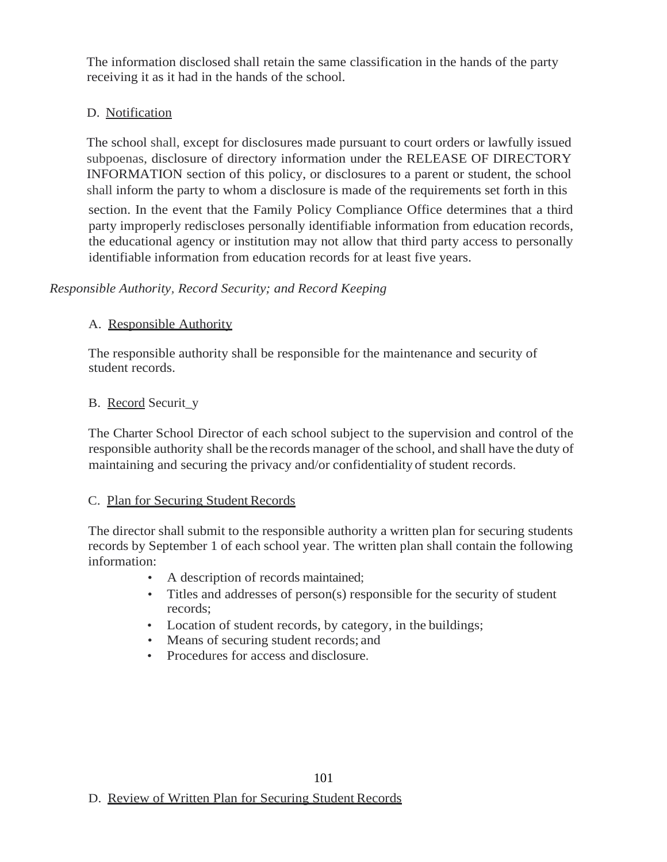The information disclosed shall retain the same classification in the hands of the party receiving it as it had in the hands of the school.

### D. Notification

The school shall, except for disclosures made pursuant to court orders or lawfully issued subpoenas, disclosure of directory information under the RELEASE OF DIRECTORY INFORMATION section of this policy, or disclosures to a parent or student, the school shall inform the party to whom a disclosure is made of the requirements set forth in this

section. In the event that the Family Policy Compliance Office determines that a third party improperly rediscloses personally identifiable information from education records, the educational agency or institution may not allow that third party access to personally identifiable information from education records for at least five years.

### *Responsible Authority, Record Security; and Record Keeping*

### A. Responsible Authority

The responsible authority shall be responsible for the maintenance and security of student records.

### B. Record Securit\_y

The Charter School Director of each school subject to the supervision and control of the responsible authority shall be the records manager of the school, and shall have the duty of maintaining and securing the privacy and/or confidentiality of student records.

#### C. Plan for Securing Student Records

The director shall submit to the responsible authority a written plan for securing students records by September 1 of each school year. The written plan shall contain the following information:

- A description of records maintained;
- Titles and addresses of person(s) responsible for the security of student records;
- Location of student records, by category, in the buildings;

101

- Means of securing student records; and
- Procedures for access and disclosure.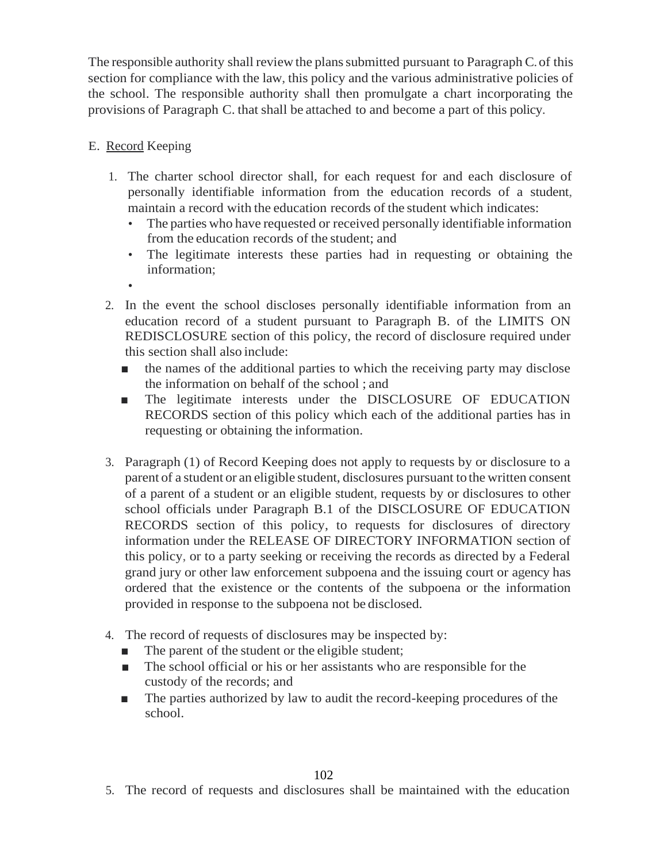The responsible authority shall review the plans submitted pursuant to Paragraph C. of this section for compliance with the law, this policy and the various administrative policies of the school. The responsible authority shall then promulgate a chart incorporating the provisions of Paragraph C. that shall be attached to and become a part of this policy.

### E. Record Keeping

- 1. The charter school director shall, for each request for and each disclosure of personally identifiable information from the education records of a student, maintain a record with the education records of the student which indicates:
	- The parties who have requested or received personally identifiable information from the education records of the student; and
	- The legitimate interests these parties had in requesting or obtaining the information;
	- •
- 2. In the event the school discloses personally identifiable information from an education record of a student pursuant to Paragraph B. of the LIMITS ON REDISCLOSURE section of this policy, the record of disclosure required under this section shall also include:
	- the names of the additional parties to which the receiving party may disclose the information on behalf of the school ; and
	- The legitimate interests under the DISCLOSURE OF EDUCATION RECORDS section of this policy which each of the additional parties has in requesting or obtaining the information.
- 3. Paragraph (1) of Record Keeping does not apply to requests by or disclosure to a parent of a student or an eligible student, disclosures pursuant to the written consent of a parent of a student or an eligible student, requests by or disclosures to other school officials under Paragraph B.1 of the DISCLOSURE OF EDUCATION RECORDS section of this policy, to requests for disclosures of directory information under the RELEASE OF DIRECTORY INFORMATION section of this policy, or to a party seeking or receiving the records as directed by a Federal grand jury or other law enforcement subpoena and the issuing court or agency has ordered that the existence or the contents of the subpoena or the information provided in response to the subpoena not be disclosed.
- 4. The record of requests of disclosures may be inspected by:
	- The parent of the student or the eligible student;
	- The school official or his or her assistants who are responsible for the custody of the records; and
	- The parties authorized by law to audit the record-keeping procedures of the school.

102

5. The record of requests and disclosures shall be maintained with the education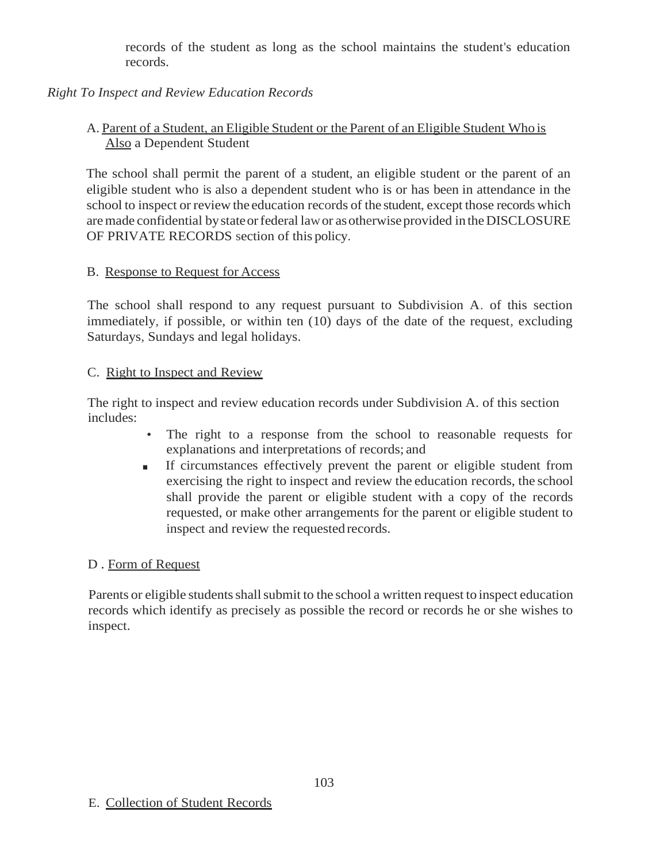records of the student as long as the school maintains the student's education records.

## *Right To Inspect and Review Education Records*

### A. Parent of a Student, an Eligible Student or the Parent of an Eligible Student Who is Also a Dependent Student

The school shall permit the parent of a student, an eligible student or the parent of an eligible student who is also a dependent student who is or has been in attendance in the school to inspect or review the education records of the student, except those records which are made confidential by state or federal law or as otherwise provided in the DISCLOSURE OF PRIVATE RECORDS section of this policy.

#### B. Response to Request for Access

The school shall respond to any request pursuant to Subdivision A. of this section immediately, if possible, or within ten (10) days of the date of the request, excluding Saturdays, Sundays and legal holidays.

#### C. Right to Inspect and Review

The right to inspect and review education records under Subdivision A. of this section includes:

- The right to a response from the school to reasonable requests for explanations and interpretations of records; and
- If circumstances effectively prevent the parent or eligible student from exercising the right to inspect and review the education records, the school shall provide the parent or eligible student with a copy of the records requested, or make other arrangements for the parent or eligible student to inspect and review the requested records.

#### D . Form of Request

Parents or eligible students shall submit to the school a written request to inspect education records which identify as precisely as possible the record or records he or she wishes to inspect.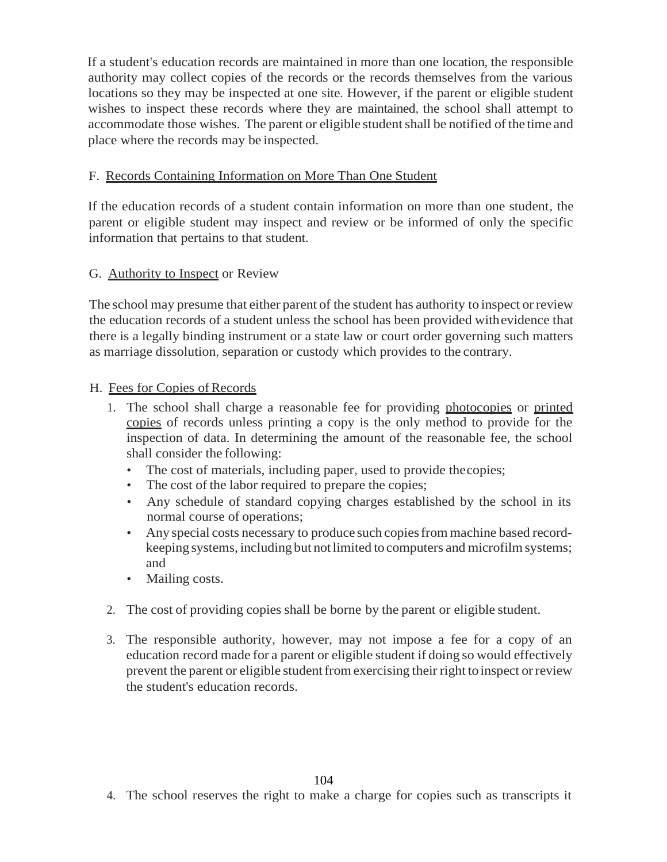If a student's education records are maintained in more than one location, the responsible authority may collect copies of the records or the records themselves from the various locations so they may be inspected at one site. However, if the parent or eligible student wishes to inspect these records where they are maintained, the school shall attempt to accommodate those wishes. The parent or eligible student shall be notified of the time and place where the records may be inspected.

### F. Records Containing Information on More Than One Student

If the education records of a student contain information on more than one student, the parent or eligible student may inspect and review or be informed of only the specific information that pertains to that student.

### G. Authority to Inspect or Review

The school may presume that either parent of the student has authority to inspect orreview the education records of a student unless the school has been provided withevidence that there is a legally binding instrument or a state law or court order governing such matters as marriage dissolution, separation or custody which provides to the contrary.

### H. Fees for Copies of Records

- 1. The school shall charge a reasonable fee for providing photocopies or printed copies of records unless printing a copy is the only method to provide for the inspection of data. In determining the amount of the reasonable fee, the school shall consider the following:
	- The cost of materials, including paper, used to provide the copies;
	- The cost of the labor required to prepare the copies;
	- Any schedule of standard copying charges established by the school in its normal course of operations;
	- Any special costs necessary to produce such copiesfrom machine based recordkeeping systems, including but notlimited to computers and microfilmsystems; and
	- Mailing costs.
- 2. The cost of providing copies shall be borne by the parent or eligible student.
- 3. The responsible authority, however, may not impose a fee for a copy of an education record made for a parent or eligible student if doing so would effectively prevent the parent or eligible studentfrom exercising their right to inspect orreview the student's education records.

4. The school reserves the right to make a charge for copies such as transcripts it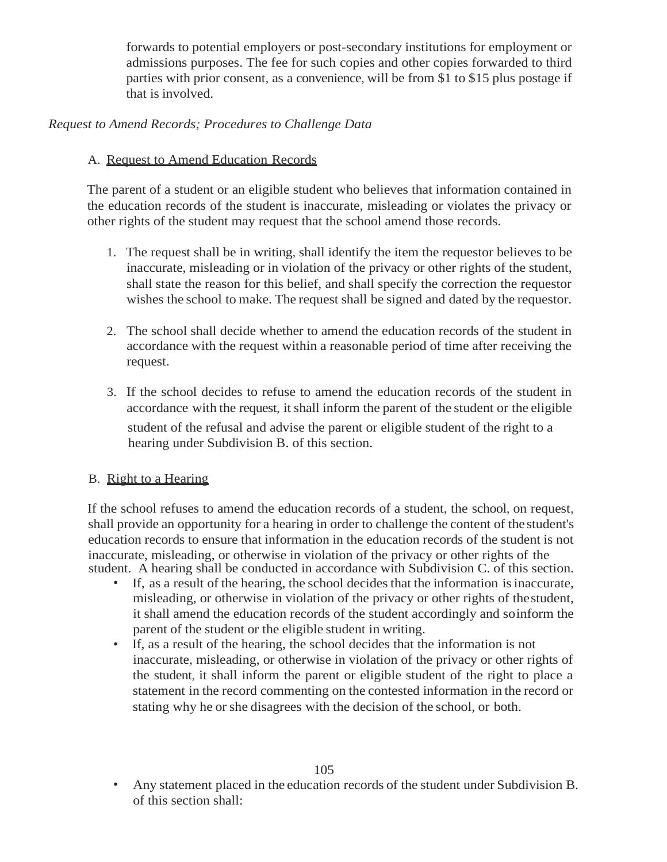forwards to potential employers or post-secondary institutions for employment or admissions purposes. The fee for such copies and other copies forwarded to third parties with prior consent, as a convenience, will be from \$1 to \$15 plus postage if that is involved.

### *Request to Amend Records; Procedures to Challenge Data*

### A. Request to Amend Education Records

The parent of a student or an eligible student who believes that information contained in the education records of the student is inaccurate, misleading or violates the privacy or other rights of the student may request that the school amend those records.

- 1. The request shall be in writing, shall identify the item the requestor believes to be inaccurate, misleading or in violation of the privacy or other rights of the student, shall state the reason for this belief, and shall specify the correction the requestor wishes the school to make. The request shall be signed and dated by the requestor.
- 2. The school shall decide whether to amend the education records of the student in accordance with the request within a reasonable period of time after receiving the request.
- 3. If the school decides to refuse to amend the education records of the student in accordance with the request, itshall inform the parent of the student or the eligible student of the refusal and advise the parent or eligible student of the right to a hearing under Subdivision B. of this section.

#### B. Right to a Hearing

If the school refuses to amend the education records of a student, the school, on request, shall provide an opportunity for a hearing in order to challenge the content of the student's education records to ensure that information in the education records of the student is not inaccurate, misleading, or otherwise in violation of the privacy or other rights of the student. A hearing shall be conducted in accordance with Subdivision C. of this section.

- If, as a result of the hearing, the school decides that the information is inaccurate, misleading, or otherwise in violation of the privacy or other rights of thestudent, it shall amend the education records of the student accordingly and soinform the parent of the student or the eligible student in writing.
- If, as a result of the hearing, the school decides that the information is not inaccurate, misleading, or otherwise in violation of the privacy or other rights of the student, it shall inform the parent or eligible student of the right to place a statement in the record commenting on the contested information in the record or stating why he or she disagrees with the decision of the school, or both.

<sup>•</sup> Any statement placed in the education records of the student under Subdivision B. of this section shall: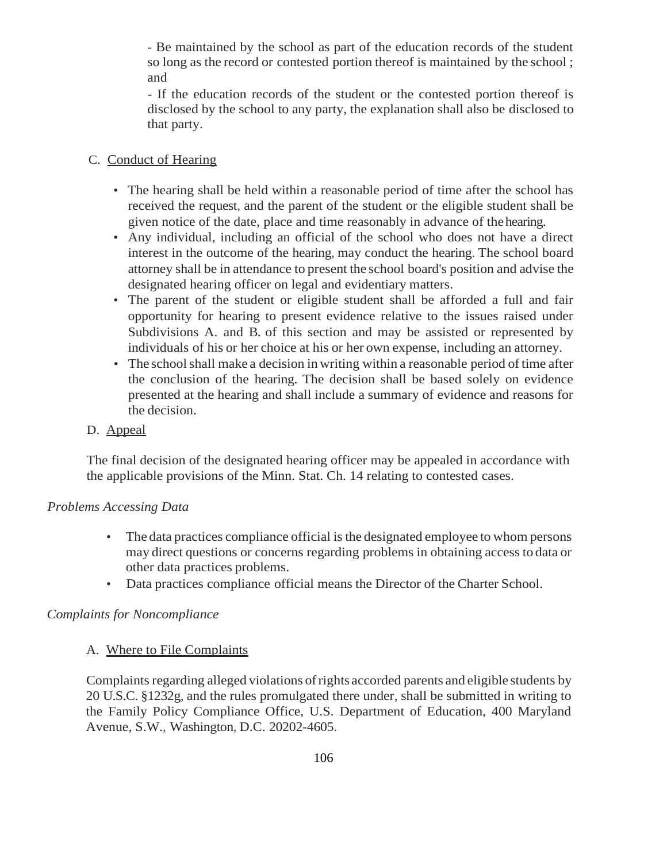- Be maintained by the school as part of the education records of the student so long as the record or contested portion thereof is maintained by the school ; and

- If the education records of the student or the contested portion thereof is disclosed by the school to any party, the explanation shall also be disclosed to that party.

#### C. Conduct of Hearing

- The hearing shall be held within a reasonable period of time after the school has received the request, and the parent of the student or the eligible student shall be given notice of the date, place and time reasonably in advance of thehearing.
- Any individual, including an official of the school who does not have a direct interest in the outcome of the hearing, may conduct the hearing. The school board attorney shall be in attendance to present the school board's position and advise the designated hearing officer on legal and evidentiary matters.
- The parent of the student or eligible student shall be afforded a full and fair opportunity for hearing to present evidence relative to the issues raised under Subdivisions A. and B. of this section and may be assisted or represented by individuals of his or her choice at his or her own expense, including an attorney.
- The school shall make a decision in writing within a reasonable period of time after the conclusion of the hearing. The decision shall be based solely on evidence presented at the hearing and shall include a summary of evidence and reasons for the decision.
- D. Appeal

The final decision of the designated hearing officer may be appealed in accordance with the applicable provisions of the Minn. Stat. Ch. 14 relating to contested cases.

#### *Problems Accessing Data*

- The data practices compliance official is the designated employee to whom persons may direct questions or concerns regarding problems in obtaining access to data or other data practices problems.
- Data practices compliance official means the Director of the Charter School.

#### *Complaints for Noncompliance*

#### A. Where to File Complaints

Complaints regarding alleged violations of rights accorded parents and eligible students by 20 U.S.C. §1232g, and the rules promulgated there under, shall be submitted in writing to the Family Policy Compliance Office, U.S. Department of Education, 400 Maryland Avenue, S.W., Washington, D.C. 20202-4605.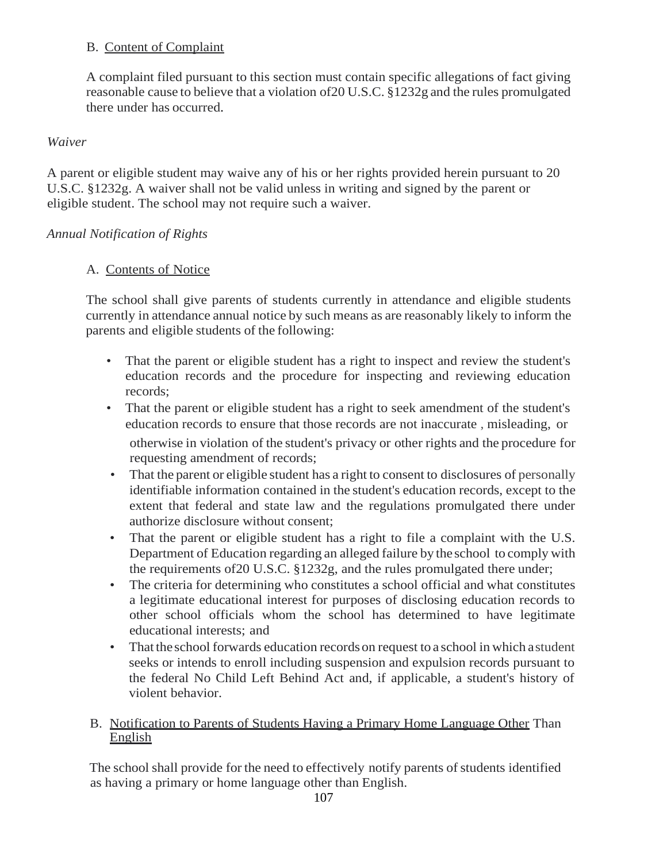### B. Content of Complaint

A complaint filed pursuant to this section must contain specific allegations of fact giving reasonable cause to believe that a violation of20 U.S.C. §1232g and the rules promulgated there under has occurred.

## *Waiver*

A parent or eligible student may waive any of his or her rights provided herein pursuant to 20 U.S.C. §1232g. A waiver shall not be valid unless in writing and signed by the parent or eligible student. The school may not require such a waiver.

# *Annual Notification of Rights*

# A. Contents of Notice

The school shall give parents of students currently in attendance and eligible students currently in attendance annual notice by such means as are reasonably likely to inform the parents and eligible students of the following:

- That the parent or eligible student has a right to inspect and review the student's education records and the procedure for inspecting and reviewing education records;
- That the parent or eligible student has a right to seek amendment of the student's education records to ensure that those records are not inaccurate , misleading, or otherwise in violation of the student's privacy or other rights and the procedure for requesting amendment of records;
- That the parent or eligible student has a right to consent to disclosures of personally identifiable information contained in the student's education records, except to the extent that federal and state law and the regulations promulgated there under authorize disclosure without consent;
- That the parent or eligible student has a right to file a complaint with the U.S. Department of Education regarding an alleged failure by the school to comply with the requirements of20 U.S.C. §1232g, and the rules promulgated there under;
- The criteria for determining who constitutes a school official and what constitutes a legitimate educational interest for purposes of disclosing education records to other school officials whom the school has determined to have legitimate educational interests; and
- That the school forwards education records on request to a school in which astudent seeks or intends to enroll including suspension and expulsion records pursuant to the federal No Child Left Behind Act and, if applicable, a student's history of violent behavior.

### B. Notification to Parents of Students Having a Primary Home Language Other Than English

The school shall provide for the need to effectively notify parents of students identified as having a primary or home language other than English.